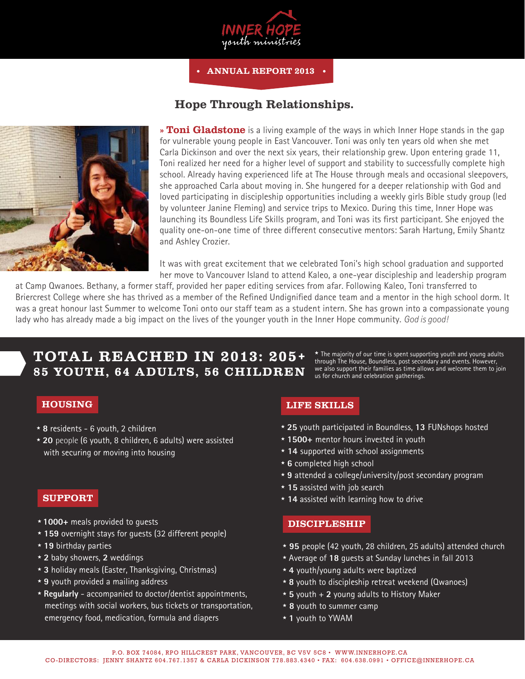

ANNUAL REPORT 2013

## Hope Through Relationships.



**» Toni Gladstone** is a living example of the ways in which Inner Hope stands in the gap for vulnerable young people in East Vancouver. Toni was only ten years old when she met Carla Dickinson and over the next six years, their relationship grew. Upon entering grade 11, Toni realized her need for a higher level of support and stability to successfully complete high school. Already having experienced life at The House through meals and occasional sleepovers, she approached Carla about moving in. She hungered for a deeper relationship with God and loved participating in discipleship opportunities including a weekly girls Bible study group (led by volunteer Janine Fleming) and service trips to Mexico. During this time, Inner Hope was launching its Boundless Life Skills program, and Toni was its first participant. She enjoyed the quality one-on-one time of three different consecutive mentors: Sarah Hartung, Emily Shantz and Ashley Crozier.

It was with great excitement that we celebrated Toni's high school graduation and supported her move to Vancouver Island to attend Kaleo, a one-year discipleship and leadership program

at Camp Qwanoes. Bethany, a former staff, provided her paper editing services from afar. Following Kaleo, Toni transferred to Briercrest College where she has thrived as a member of the Refined Undignified dance team and a mentor in the high school dorm. It was a great honour last Summer to welcome Toni onto our staff team as a student intern. She has grown into a compassionate young lady who has already made a big impact on the lives of the younger youth in the Inner Hope community. *God is good!*

# TOTAL REACHED IN 2013: 205+ 85 YOUTH, 64 ADULTS, 56 CHILDREN

 $\star$  The majority of our time is spent supporting youth and young adults through The House, Boundless, post secondary and events. However, we also support their families as time allows and welcome them to join us for church and celebration gatherings.

- \* **8** residents 6 youth, 2 children
- \* **20** people (6 youth, 8 children, 6 adults) were assisted with securing or moving into housing

#### SUPPORT

- \* **1000+** meals provided to guests
- \* **159** overnight stays for guests (32 different people)
- \* **19** birthday parties
- \* **2** baby showers, **2** weddings
- \* **3** holiday meals (Easter, Thanksgiving, Christmas)
- \* **9** youth provided a mailing address
- \* **Regularly** accompanied to doctor/dentist appointments, meetings with social workers, bus tickets or transportation, emergency food, medication, formula and diapers

### **HOUSING LIFE SKILLS**

- \* **25** youth participated in Boundless, **13** FUNshops hosted
- \* **1500+** mentor hours invested in youth
- \* **14** supported with school assignments
- \* **6** completed high school
- \* **9** attended a college/university/post secondary program
- \* **15** assisted with job search
- \* **14** assisted with learning how to drive

#### DISCIPLESHIP

- \* **95** people (42 youth, 28 children, 25 adults) attended church
- \* Average of **18** guests at Sunday lunches in fall 2013
- \* **4** youth/young adults were baptized
- \* **8** youth to discipleship retreat weekend (Qwanoes)
- \* **5** youth + **2** young adults to History Maker
- \* **8** youth to summer camp
- \* **1** youth to YWAM